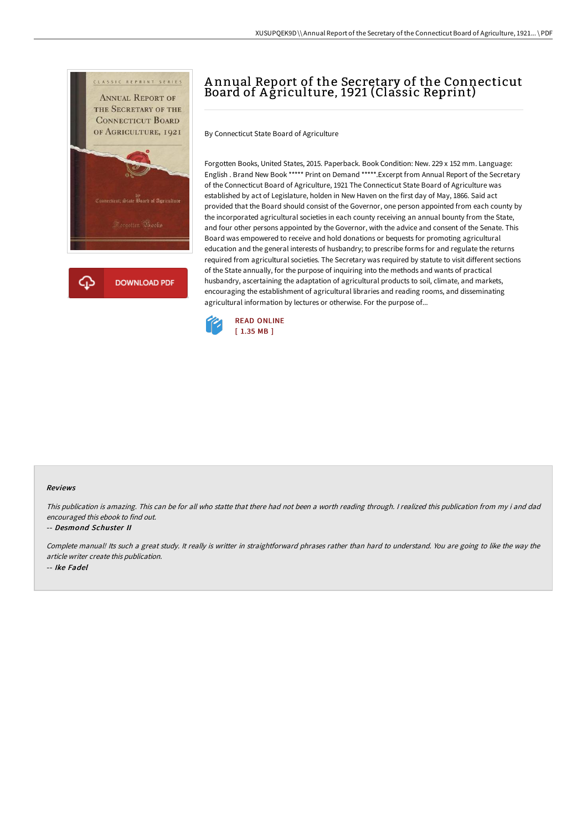



# A nnual Report of the Secretary of the Connecticut Board of A griculture, 1921 (Classic Reprint)

By Connecticut State Board of Agriculture

Forgotten Books, United States, 2015. Paperback. Book Condition: New. 229 x 152 mm. Language: English . Brand New Book \*\*\*\*\* Print on Demand \*\*\*\*\*.Excerpt from Annual Report of the Secretary of the Connecticut Board of Agriculture, 1921 The Connecticut State Board of Agriculture was established by act of Legislature, holden in New Haven on the first day of May, 1866. Said act provided that the Board should consist of the Governor, one person appointed from each county by the incorporated agricultural societies in each county receiving an annual bounty from the State, and four other persons appointed by the Governor, with the advice and consent of the Senate. This Board was empowered to receive and hold donations or bequests for promoting agricultural education and the general interests of husbandry; to prescribe forms for and regulate the returns required from agricultural societies. The Secretary was required by statute to visit different sections of the State annually, for the purpose of inquiring into the methods and wants of practical husbandry, ascertaining the adaptation of agricultural products to soil, climate, and markets, encouraging the establishment of agricultural libraries and reading rooms, and disseminating agricultural information by lectures or otherwise. For the purpose of...



#### Reviews

This publication is amazing. This can be for all who statte that there had not been <sup>a</sup> worth reading through. <sup>I</sup> realized this publication from my i and dad encouraged this ebook to find out.

#### -- Desmond Schuster II

Complete manual! Its such <sup>a</sup> great study. It really is writter in straightforward phrases rather than hard to understand. You are going to like the way the article writer create this publication. -- Ike Fadel